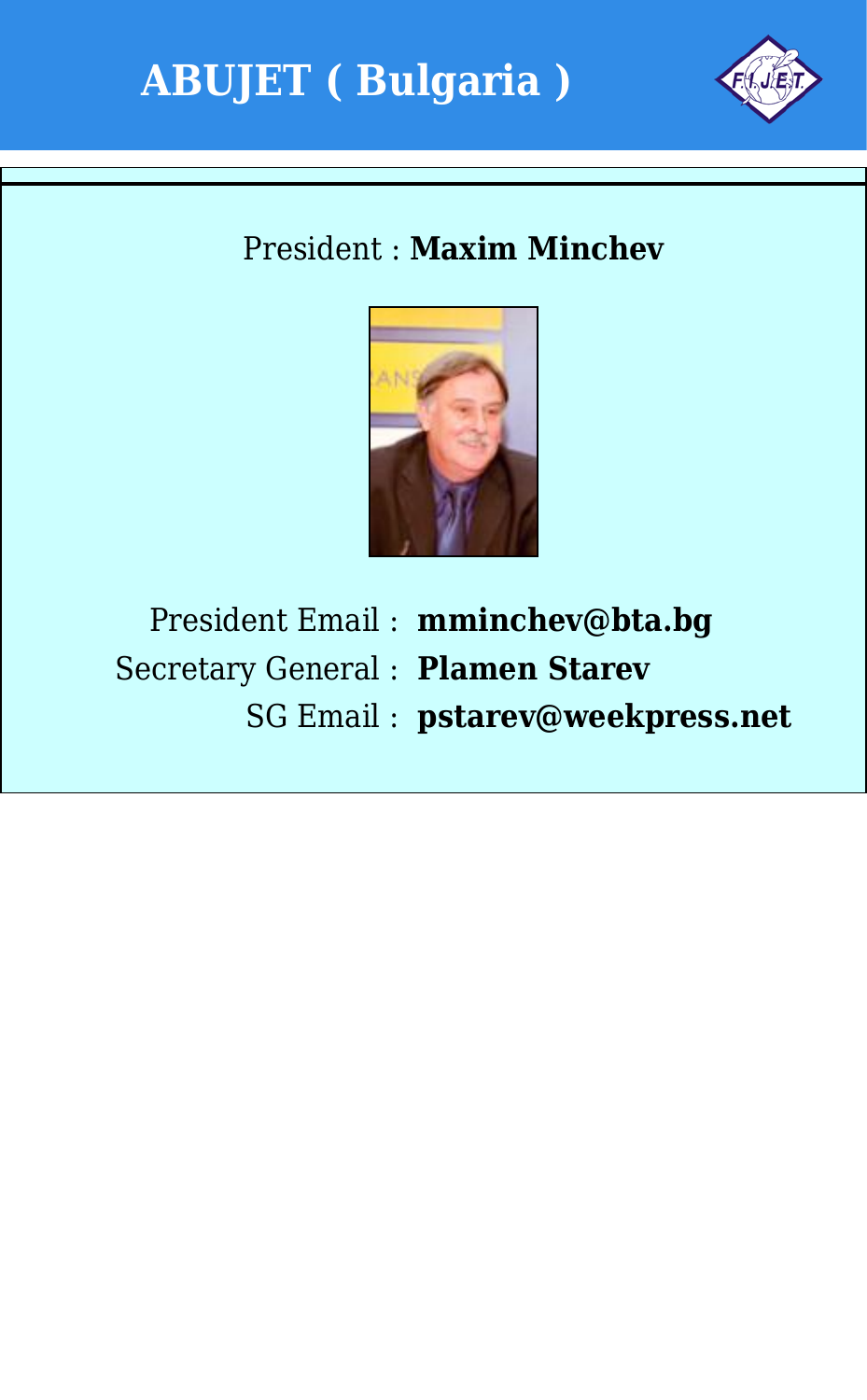



### President : **Maxim Minchev**



President Email : **mminchev@bta.bg** Secretary General : **Plamen Starev** SG Email : **pstarev@weekpress.net**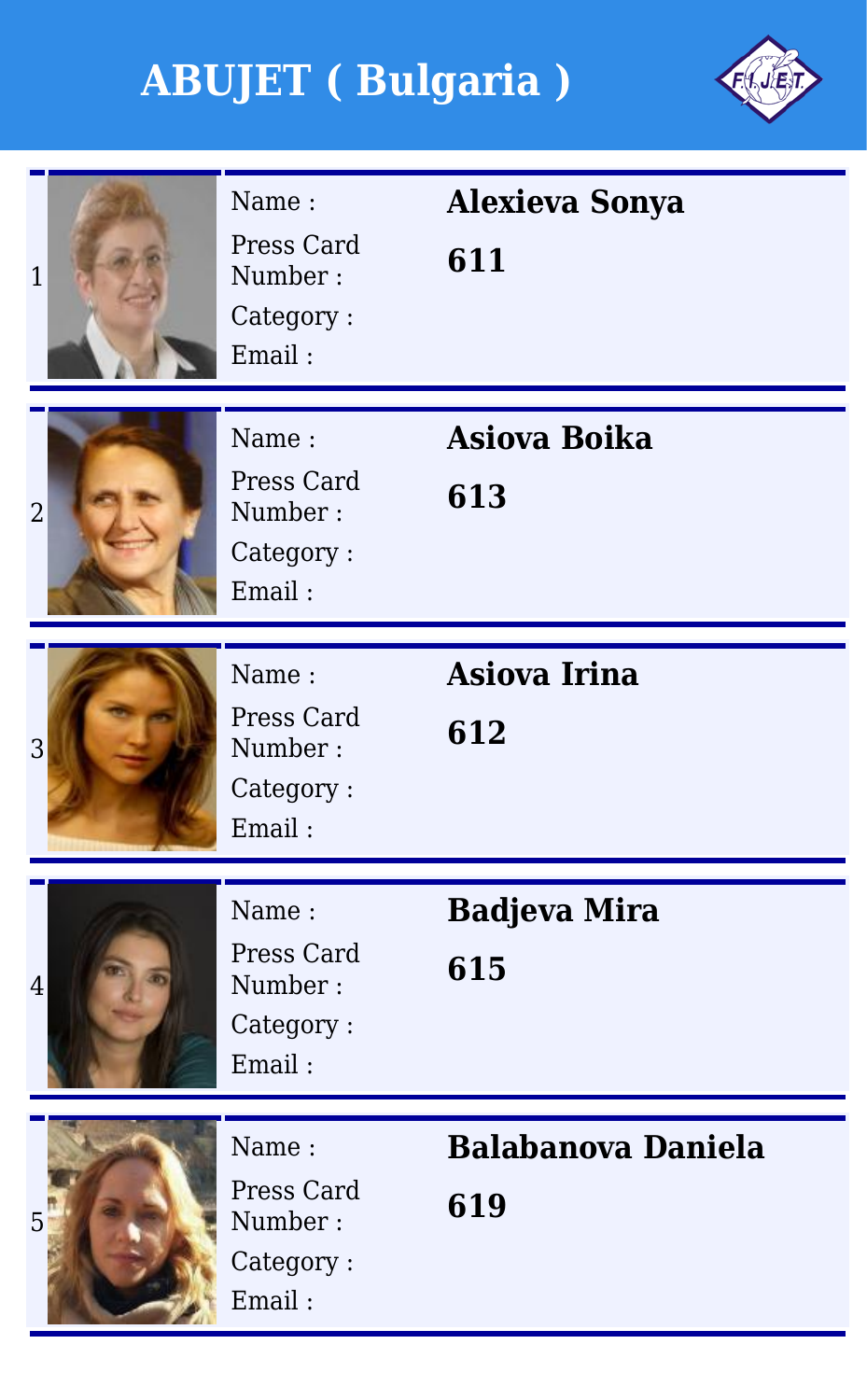

| $\overline{1}$ | Name:<br>Press Card<br>Number:<br>Category:<br>Email: | <b>Alexieva Sonya</b><br>611     |
|----------------|-------------------------------------------------------|----------------------------------|
| $\overline{2}$ | Name:<br>Press Card<br>Number:<br>Category:<br>Email: | <b>Asiova Boika</b><br>613       |
| 3              | Name:<br>Press Card<br>Number:<br>Category:<br>Email: | <b>Asiova Irina</b><br>612       |
| $\overline{4}$ | Name:<br>Press Card<br>Number:<br>Category:<br>Email: | <b>Badjeva Mira</b><br>615       |
| 5              | Name:<br>Press Card<br>Number:<br>Category:<br>Email: | <b>Balabanova Daniela</b><br>619 |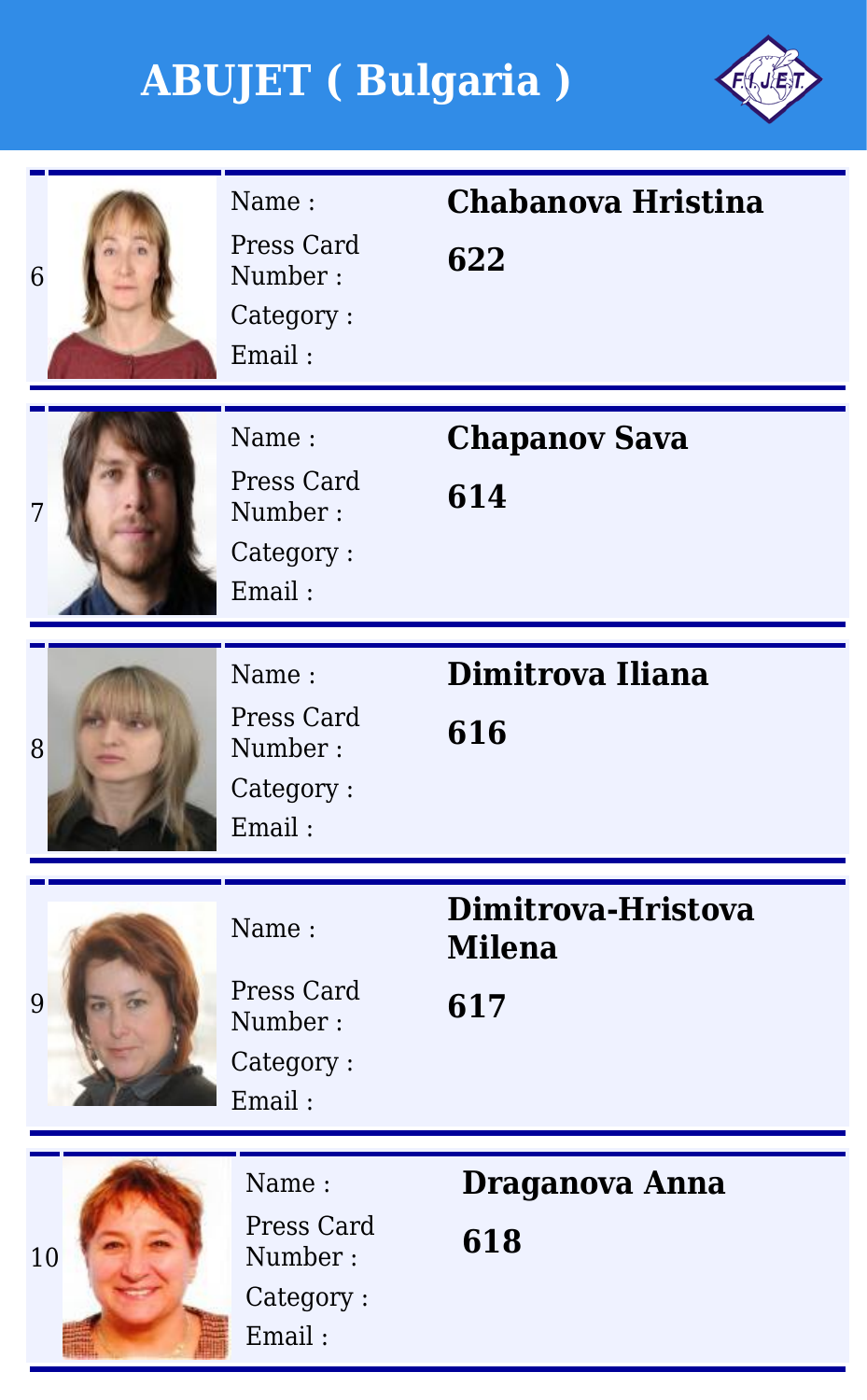

| 6  | Name:<br>Press Card<br>Number:<br>Category:<br>Email: | Chabanova Hristina<br>622                  |
|----|-------------------------------------------------------|--------------------------------------------|
| 7  | Name:<br>Press Card<br>Number:<br>Category:<br>Email: | <b>Chapanov Sava</b><br>614                |
| 8  | Name:<br>Press Card<br>Number:<br>Category:<br>Email: | Dimitrova Iliana<br>616                    |
| 9  | Name:<br>Press Card<br>Number:<br>Category:<br>Email: | Dimitrova-Hristova<br><b>Milena</b><br>617 |
| 10 | Name:<br>Press Card<br>Number:<br>Category:<br>Email: | Draganova Anna<br>618                      |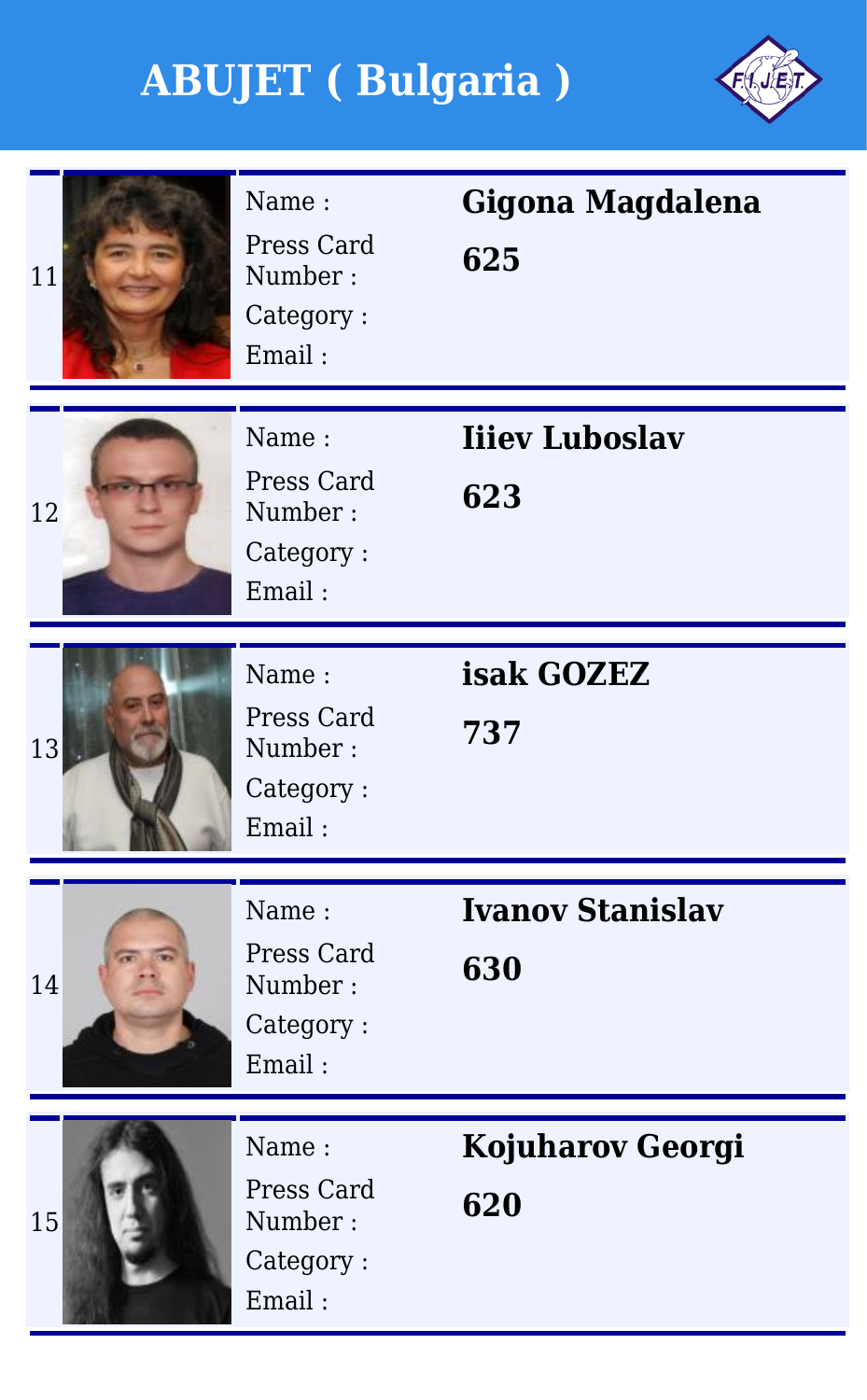

| 11 | Name:<br>Press Card<br>Number:<br>Category:<br>Email: | Gigona Magdalena<br>625        |
|----|-------------------------------------------------------|--------------------------------|
| 12 | Name:<br>Press Card<br>Number:<br>Category:<br>Email: | <b>Iiiev Luboslav</b><br>623   |
| 13 | Name:<br>Press Card<br>Number:<br>Category:<br>Email: | isak GOZEZ<br>737              |
| 14 | Name:<br>Press Card<br>Number:<br>Category:<br>Email: | <b>Ivanov Stanislav</b><br>630 |
| 15 | Name:<br>Press Card<br>Number:<br>Category:<br>Email: | <b>Kojuharov Georgi</b><br>620 |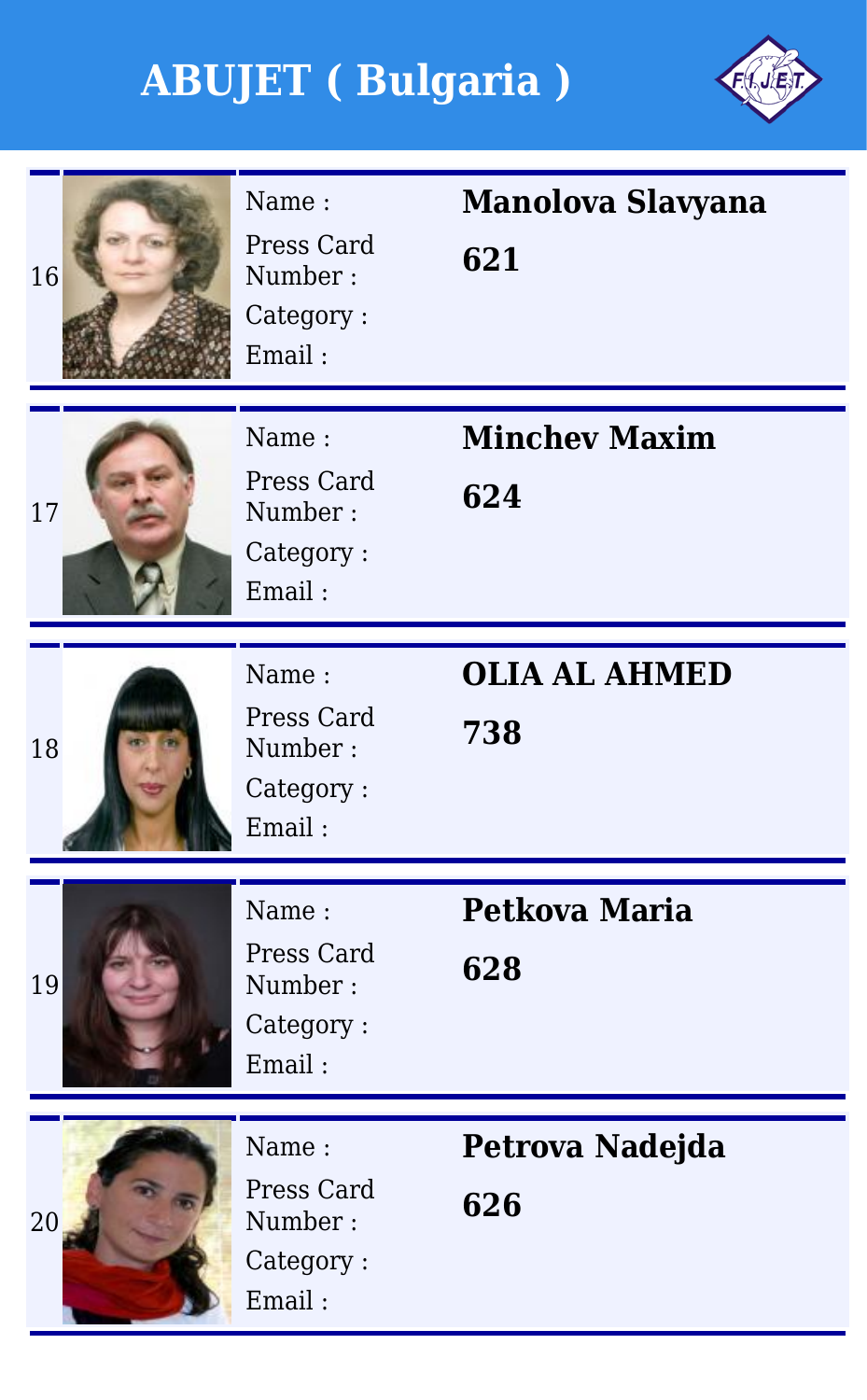

| 16 | Name:<br>Press Card<br>Number:<br>Category:<br>Email: | <b>Manolova Slavyana</b><br>621 |
|----|-------------------------------------------------------|---------------------------------|
| 17 | Name:<br>Press Card<br>Number:<br>Category:<br>Email: | <b>Minchey Maxim</b><br>624     |
| 18 | Name:<br>Press Card<br>Number:<br>Category:<br>Email: | <b>OLIA AL AHMED</b><br>738     |
| 19 | Name:<br>Press Card<br>Number:<br>Category:<br>Email: | Petkova Maria<br>628            |
| 20 | Name:<br>Press Card<br>Number:<br>Category:<br>Email: | Petrova Nadejda<br>626          |